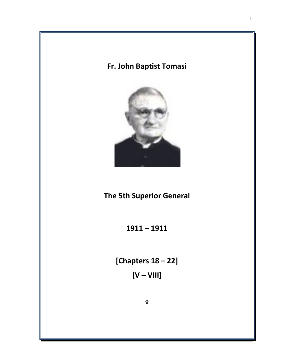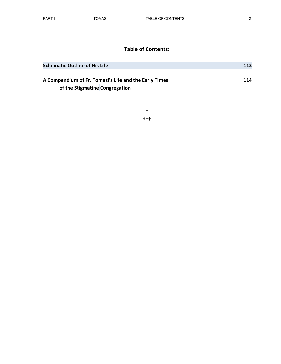## Table of Contents:

| <b>Schematic Outline of His Life</b>                                                           | <b>113</b> |
|------------------------------------------------------------------------------------------------|------------|
| <b>A Compendium of Fr. Tomasi's Life and the Early Times</b><br>of the Stigmatine Congregation | 114        |

† ††† †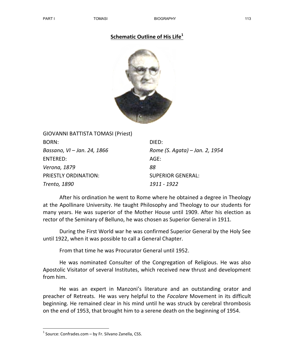## Schematic Outline of His Life $1$



| <b>GIOVANNI BATTISTA TOMASI (Priest)</b> |                                |
|------------------------------------------|--------------------------------|
| <b>BORN:</b>                             | DIED:                          |
| Bassano, VI – Jan. 24, 1866              | Rome (S. Agata) – Jan. 2, 1954 |
| <b>ENTERED:</b>                          | AGE:                           |
| Verona, 1879                             | 88                             |
| PRIESTLY ORDINATION:                     | <b>SUPERIOR GENERAL:</b>       |
| Trento, 1890                             | 1911 - 1922                    |

After his ordination he went to Rome where he obtained a degree in Theology at the Apollinare University. He taught Philosophy and Theology to our students for many years. He was superior of the Mother House until 1909. After his election as rector of the Seminary of Belluno, he was chosen as Superior General in 1911.

During the First World war he was confirmed Superior General by the Holy See until 1922, when it was possible to call a General Chapter.

From that time he was Procurator General until 1952.

He was nominated Consulter of the Congregation of Religious. He was also Apostolic Visitator of several Institutes, which received new thrust and development from him.

He was an expert in Manzoni's literature and an outstanding orator and preacher of Retreats. He was very helpful to the *Focolare* Movement in its difficult beginning. He remained clear in his mind until he was struck by cerebral thrombosis on the end of 1953, that brought him to a serene death on the beginning of 1954.

-

 $<sup>1</sup>$  Source: Confrades.com – by Fr. Silvano Zanella, CSS.</sup>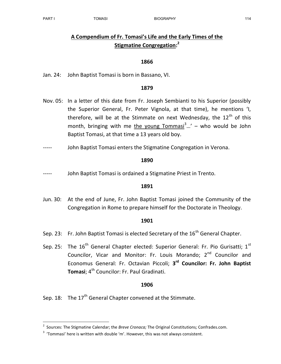-

# A Compendium of Fr. Tomasi's Life and the Early Times of the Stigmatine Congregation:<sup>2</sup>

## 1866

Jan. 24: John Baptist Tomasi is born in Bassano, VI.

### 1879

- Nov. 05: In a letter of this date from Fr. Joseph Sembianti to his Superior (possibly the Superior General, Fr. Peter Vignola, at that time), he mentions 'I, therefore, will be at the Stimmate on next Wednesday, the  $12<sup>th</sup>$  of this month, bringing with me the young Tommasi<sup>3</sup>...' – who would be John Baptist Tomasi, at that time a 13 years old boy.
- John Baptist Tomasi enters the Stigmatine Congregation in Verona.

#### 1890

John Baptist Tomasi is ordained a Stigmatine Priest in Trento.

#### 1891

Jun. 30: At the end of June, Fr. John Baptist Tomasi joined the Community of the Congregation in Rome to prepare himself for the Doctorate in Theology.

#### 1901

- Sep. 23: Fr. John Baptist Tomasi is elected Secretary of the  $16<sup>th</sup>$  General Chapter.
- Sep. 25: The  $16<sup>th</sup>$  General Chapter elected: Superior General: Fr. Pio Gurisatti;  $1<sup>st</sup>$ Councilor, Vicar and Monitor: Fr. Louis Morando: 2<sup>nd</sup> Councilor and Economus General: Fr. Octavian Piccoli; 3<sup>rd</sup> Councilor: Fr. John Baptist Tomasi; 4<sup>th</sup> Councilor: Fr. Paul Gradinati.

## 1906

Sep. 18: The  $17<sup>th</sup>$  General Chapter convened at the Stimmate.

<sup>&</sup>lt;sup>2</sup> Sources: The Stigmatine Calendar; the *Breve Cronaca;* The Original Constitutions; Confrades.com.

 $3$  'Tommasi' here is written with double 'm'. However, this was not always consistent.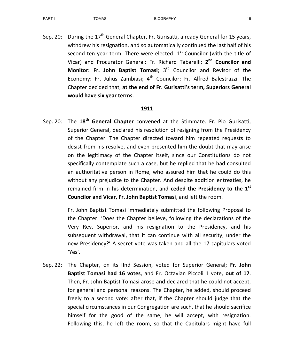Sep. 20: During the  $17<sup>th</sup>$  General Chapter, Fr. Gurisatti, already General for 15 years, withdrew his resignation, and so automatically continued the last half of his second ten year term. There were elected:  $1<sup>st</sup>$  Councilor (with the title of Vicar) and Procurator General: Fr. Richard Tabarelli; 2<sup>nd</sup> Councilor and Monitor: Fr. John Baptist Tomasi; 3<sup>rd</sup> Councilor and Revisor of the Economy: Fr. Julius Zambiasi;  $4<sup>th</sup>$  Councilor: Fr. Alfred Balestrazzi. The Chapter decided that, at the end of Fr. Gurisatti's term, Superiors General would have six year terms.

## 1911

Sep. 20: The 18<sup>th</sup> General Chapter convened at the Stimmate. Fr. Pio Gurisatti, Superior General, declared his resolution of resigning from the Presidency of the Chapter. The Chapter directed toward him repeated requests to desist from his resolve, and even presented him the doubt that may arise on the legitimacy of the Chapter itself, since our Constitutions do not specifically contemplate such a case, but he replied that he had consulted an authoritative person in Rome, who assured him that he could do this without any prejudice to the Chapter. And despite addition entreaties, he remained firm in his determination, and ceded the Presidency to the  $1<sup>st</sup>$ Councilor and Vicar, Fr. John Baptist Tomasi, and left the room.

> Fr. John Baptist Tomasi immediately submitted the following Proposal to the Chapter: 'Does the Chapter believe, following the declarations of the Very Rev. Superior, and his resignation to the Presidency, and his subsequent withdrawal, that it can continue with all security, under the new Presidency?' A secret vote was taken and all the 17 capitulars voted 'Yes'.

Sep. 22: The Chapter, on its IInd Session, voted for Superior General; Fr. John Baptist Tomasi had 16 votes, and Fr. Octavian Piccoli 1 vote, out of 17. Then, Fr. John Baptist Tomasi arose and declared that he could not accept, for general and personal reasons. The Chapter, he added, should proceed freely to a second vote: after that, if the Chapter should judge that the special circumstances in our Congregation are such, that he should sacrifice himself for the good of the same, he will accept, with resignation. Following this, he left the room, so that the Capitulars might have full